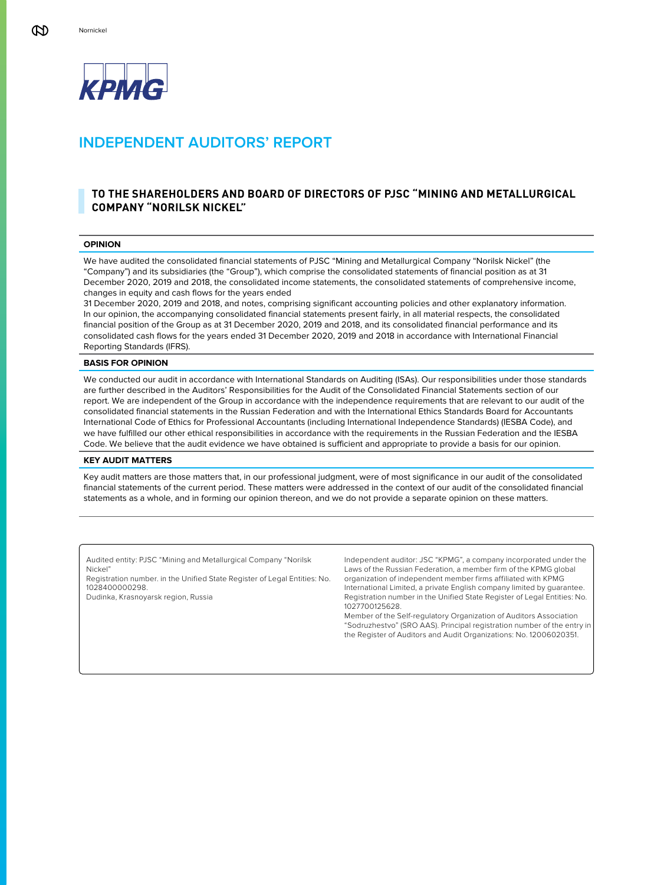

# **INDEPENDENT AUDITORS' REPORT**

## **TO THE SHAREHOLDERS AND BOARD OF DIRECTORS OF PJSC "MINING AND METALLURGICAL COMPANY "NORILSK NICKEL"**

#### **OPINION**

We have audited the consolidated financial statements of PJSC "Mining and Metallurgical Company "Norilsk Nickel" (the "Company") and its subsidiaries (the "Group"), which comprise the consolidated statements of financial position as at 31 December 2020, 2019 and 2018, the consolidated income statements, the consolidated statements of comprehensive income, changes in equity and cash flows for the years ended

31 December 2020, 2019 and 2018, and notes, comprising significant accounting policies and other explanatory information. In our opinion, the accompanying consolidated financial statements present fairly, in all material respects, the consolidated financial position of the Group as at 31 December 2020, 2019 and 2018, and its consolidated financial performance and its consolidated cash flows for the years ended 31 December 2020, 2019 and 2018 in accordance with International Financial Reporting Standards (IFRS).

### **BASIS FOR OPINION**

We conducted our audit in accordance with International Standards on Auditing (ISAs). Our responsibilities under those standards are further described in the Auditors' Responsibilities for the Audit of the Consolidated Financial Statements section of our report. We are independent of the Group in accordance with the independence requirements that are relevant to our audit of the consolidated financial statements in the Russian Federation and with the International Ethics Standards Board for Accountants International Code of Ethics for Professional Accountants (including International Independence Standards) (IESBA Code), and we have fulfilled our other ethical responsibilities in accordance with the requirements in the Russian Federation and the IESBA Code. We believe that the audit evidence we have obtained is sufficient and appropriate to provide a basis for our opinion.

#### **KEY AUDIT MATTERS**

Key audit matters are those matters that, in our professional judgment, were of most significance in our audit of the consolidated financial statements of the current period. These matters were addressed in the context of our audit of the consolidated financial statements as a whole, and in forming our opinion thereon, and we do not provide a separate opinion on these matters.

Audited entity: PJSC "Mining and Metallurgical Company "Norilsk Nickel" Registration number. in the Unified State Register of Legal Entities: No.

1028400000298. Dudinka, Krasnoyarsk region, Russia Independent auditor: JSC "KPMG", a company incorporated under the Laws of the Russian Federation, a member firm of the KPMG global organization of independent member firms affiliated with KPMG International Limited, a private English company limited by guarantee. Registration number in the Unified State Register of Legal Entities: No. 1027700125628.

Member of the Self-regulatory Organization of Auditors Association "Sodruzhestvo" (SRO AAS). Principal registration number of the entry in the Register of Auditors and Audit Organizations: No. 12006020351.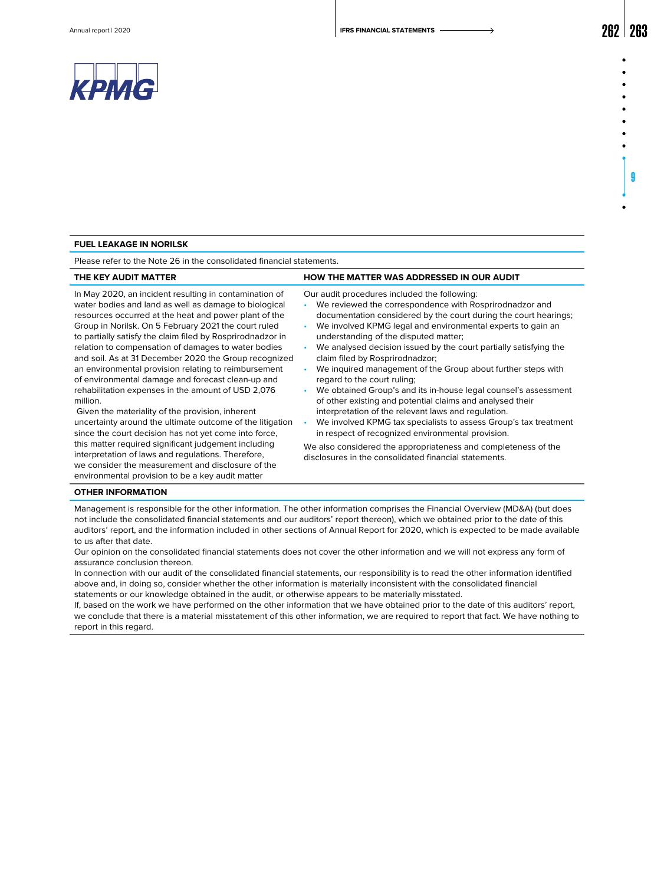9



#### **FUEL LEAKAGE IN NORILSK**

Please refer to the Note 26 in the consolidated financial statements.

| THE KEY AUDIT MATTER                                                                                                                                                                                                                                                                                                                                                                                                                                                                                                                                                                                                                                                                                                                                                                                                            | HOW THE MATTER WAS ADDRESSED IN OUR AUDIT                                                                                                                                                                                                                                                                                                                                                                                                                                                                                                                                                                                                                                                                                                                                                                  |
|---------------------------------------------------------------------------------------------------------------------------------------------------------------------------------------------------------------------------------------------------------------------------------------------------------------------------------------------------------------------------------------------------------------------------------------------------------------------------------------------------------------------------------------------------------------------------------------------------------------------------------------------------------------------------------------------------------------------------------------------------------------------------------------------------------------------------------|------------------------------------------------------------------------------------------------------------------------------------------------------------------------------------------------------------------------------------------------------------------------------------------------------------------------------------------------------------------------------------------------------------------------------------------------------------------------------------------------------------------------------------------------------------------------------------------------------------------------------------------------------------------------------------------------------------------------------------------------------------------------------------------------------------|
| In May 2020, an incident resulting in contamination of<br>water bodies and land as well as damage to biological<br>resources occurred at the heat and power plant of the<br>Group in Norilsk. On 5 February 2021 the court ruled<br>to partially satisfy the claim filed by Rosprirodnadzor in<br>relation to compensation of damages to water bodies<br>and soil. As at 31 December 2020 the Group recognized<br>an environmental provision relating to reimbursement<br>of environmental damage and forecast clean-up and<br>rehabilitation expenses in the amount of USD 2,076<br>million.<br>Given the materiality of the provision, inherent<br>uncertainty around the ultimate outcome of the litigation<br>since the court decision has not yet come into force,<br>this matter required significant judgement including | Our audit procedures included the following:<br>We reviewed the correspondence with Rosprirodnadzor and<br>documentation considered by the court during the court hearings;<br>We involved KPMG legal and environmental experts to gain an<br>understanding of the disputed matter;<br>We analysed decision issued by the court partially satisfying the<br>claim filed by Rosprirodnadzor;<br>We inquired management of the Group about further steps with<br>regard to the court ruling;<br>We obtained Group's and its in-house legal counsel's assessment<br>of other existing and potential claims and analysed their<br>interpretation of the relevant laws and regulation.<br>We involved KPMG tax specialists to assess Group's tax treatment<br>in respect of recognized environmental provision. |
| interpretation of laws and regulations. Therefore,<br>we consider the measurement and disclosure of the                                                                                                                                                                                                                                                                                                                                                                                                                                                                                                                                                                                                                                                                                                                         | We also considered the appropriateness and completeness of the<br>disclosures in the consolidated financial statements.                                                                                                                                                                                                                                                                                                                                                                                                                                                                                                                                                                                                                                                                                    |

#### **OTHER INFORMATION**

environmental provision to be a key audit matter

Management is responsible for the other information. The other information comprises the Financial Overview (MD&A) (but does not include the consolidated financial statements and our auditors' report thereon), which we obtained prior to the date of this auditors' report, and the information included in other sections of Annual Report for 2020, which is expected to be made available to us after that date.

Our opinion on the consolidated financial statements does not cover the other information and we will not express any form of assurance conclusion thereon.

In connection with our audit of the consolidated financial statements, our responsibility is to read the other information identified above and, in doing so, consider whether the other information is materially inconsistent with the consolidated financial statements or our knowledge obtained in the audit, or otherwise appears to be materially misstated.

If, based on the work we have performed on the other information that we have obtained prior to the date of this auditors' report, we conclude that there is a material misstatement of this other information, we are required to report that fact. We have nothing to report in this regard.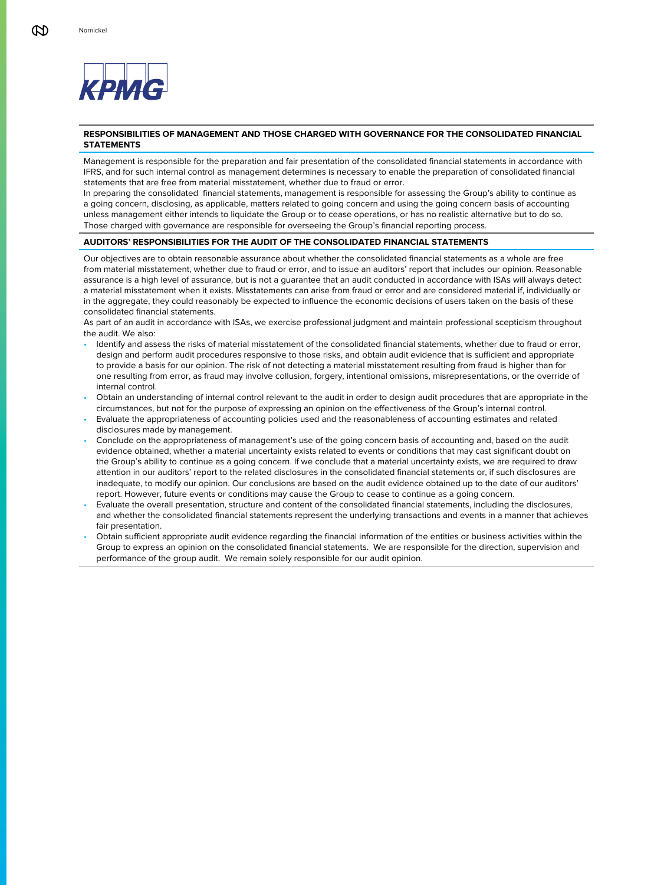#### **RESPONSIBILITIES OF MANAGEMENT AND THOSE CHARGED WITH GOVERNANCE FOR THE CONSOLIDATED FINANCIAL STATEMENTS**

Management is responsible for the preparation and fair presentation of the consolidated financial statements in accordance with IFRS, and for such internal control as management determines is necessary to enable the preparation of consolidated financial statements that are free from material misstatement, whether due to fraud or error.

In preparing the consolidated financial statements, management is responsible for assessing the Group's ability to continue as a going concern, disclosing, as applicable, matters related to going concern and using the going concern basis of accounting unless management either intends to liquidate the Group or to cease operations, or has no realistic alternative but to do so. Those charged with governance are responsible for overseeing the Group's financial reporting process.

#### **AUDITORS' RESPONSIBILITIES FOR THE AUDIT OF THE CONSOLIDATED FINANCIAL STATEMENTS**

Our objectives are to obtain reasonable assurance about whether the consolidated financial statements as a whole are free from material misstatement, whether due to fraud or error, and to issue an auditors' report that includes our opinion. Reasonable assurance is a high level of assurance, but is not a guarantee that an audit conducted in accordance with ISAs will always detect a material misstatement when it exists. Misstatements can arise from fraud or error and are considered material if, individually or in the aggregate, they could reasonably be expected to influence the economic decisions of users taken on the basis of these consolidated financial statements.

As part of an audit in accordance with ISAs, we exercise professional judgment and maintain professional scepticism throughout the audit. We also:

- Identify and assess the risks of material misstatement of the consolidated financial statements, whether due to fraud or error, design and perform audit procedures responsive to those risks, and obtain audit evidence that is sufficient and appropriate to provide a basis for our opinion. The risk of not detecting a material misstatement resulting from fraud is higher than for one resulting from error, as fraud may involve collusion, forgery, intentional omissions, misrepresentations, or the override of internal control.
- Obtain an understanding of internal control relevant to the audit in order to design audit procedures that are appropriate in the circumstances, but not for the purpose of expressing an opinion on the effectiveness of the Group's internal control.
- Evaluate the appropriateness of accounting policies used and the reasonableness of accounting estimates and related disclosures made by management.
- Conclude on the appropriateness of management's use of the going concern basis of accounting and, based on the audit evidence obtained, whether a material uncertainty exists related to events or conditions that may cast significant doubt on the Group's ability to continue as a going concern. If we conclude that a material uncertainty exists, we are required to draw attention in our auditors' report to the related disclosures in the consolidated financial statements or, if such disclosures are inadequate, to modify our opinion. Our conclusions are based on the audit evidence obtained up to the date of our auditors' report. However, future events or conditions may cause the Group to cease to continue as a going concern.
- Evaluate the overall presentation, structure and content of the consolidated financial statements, including the disclosures, and whether the consolidated financial statements represent the underlying transactions and events in a manner that achieves fair presentation.
- Obtain sufficient appropriate audit evidence regarding the financial information of the entities or business activities within the Group to express an opinion on the consolidated financial statements. We are responsible for the direction, supervision and performance of the group audit. We remain solely responsible for our audit opinion.